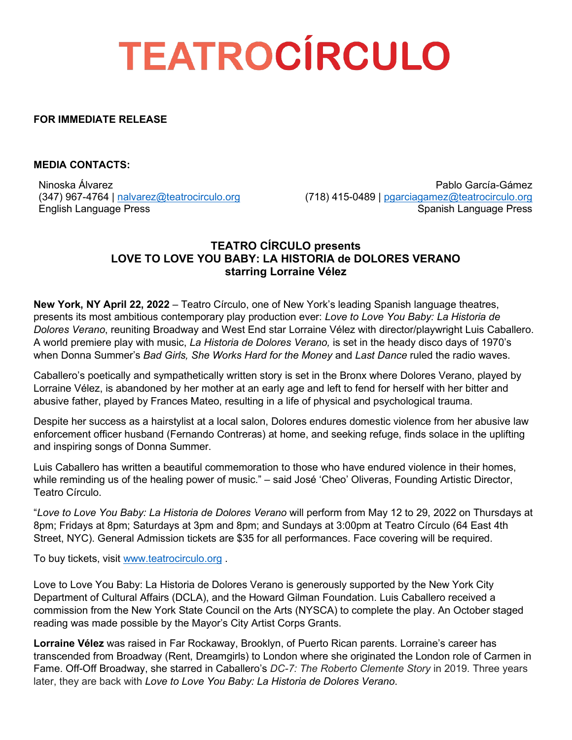# **TEATROCÍRCULO**

## **FOR IMMEDIATE RELEASE**

### **MEDIA CONTACTS:**

Ninoska Álvarez (347) 967-4764 | [nalvarez@teatrocirculo.org](mailto:nalvarez@teatrocirculo.org) English Language Press

Pablo García-Gámez (718) 415-0489 | [pgarciagamez@teatrocirculo.org](mailto:pgarciagamez@teatrocirculo.org) Spanish Language Press

## **TEATRO CÍRCULO presents LOVE TO LOVE YOU BABY: LA HISTORIA de DOLORES VERANO starring Lorraine Vélez**

**New York, NY April 22, 2022** – Teatro Círculo, one of New York's leading Spanish language theatres, presents its most ambitious contemporary play production ever: *Love to Love You Baby: La Historia de Dolores Verano*, reuniting Broadway and West End star Lorraine Vélez with director/playwright Luis Caballero. A world premiere play with music, *La Historia de Dolores Verano,* is set in the heady disco days of 1970's when Donna Summer's *Bad Girls, She Works Hard for the Money* and *Last Dance* ruled the radio waves.

Caballero's poetically and sympathetically written story is set in the Bronx where Dolores Verano, played by Lorraine Vélez, is abandoned by her mother at an early age and left to fend for herself with her bitter and abusive father, played by Frances Mateo, resulting in a life of physical and psychological trauma.

Despite her success as a hairstylist at a local salon, Dolores endures domestic violence from her abusive law enforcement officer husband (Fernando Contreras) at home, and seeking refuge, finds solace in the uplifting and inspiring songs of Donna Summer.

Luis Caballero has written a beautiful commemoration to those who have endured violence in their homes, while reminding us of the healing power of music." – said José 'Cheo' Oliveras, Founding Artistic Director, Teatro Círculo.

"*Love to Love You Baby: La Historia de Dolores Verano* will perform from May 12 to 29, 2022 on Thursdays at 8pm; Fridays at 8pm; Saturdays at 3pm and 8pm; and Sundays at 3:00pm at Teatro Círculo (64 East 4th Street, NYC). General Admission tickets are \$35 for all performances. Face covering will be required.

To buy tickets, visit [www.teatrocirculo.org](https://app.arts-people.com/index.php?show=129645&_gl=1*n7lzix*_ga*MTEzODczMDQ1MC4xNjM1NDQ0MzE1*_ga_6Z5MLNRSV6*MTY1MDY0MDYzNy43MS4xLjE2NTA2NDA2NDAuMA..&_ga=2.214086034.425537601.1650640638-1138730450.1635444315) .

Love to Love You Baby: La Historia de Dolores Verano is generously supported by the New York City Department of Cultural Affairs (DCLA), and the Howard Gilman Foundation. Luis Caballero received a commission from the New York State Council on the Arts (NYSCA) to complete the play. An October staged reading was made possible by the Mayor's City Artist Corps Grants.

**Lorraine Vélez** was raised in Far Rockaway, Brooklyn, of Puerto Rican parents. Lorraine's career has transcended from Broadway (Rent, Dreamgirls) to London where she originated the London role of Carmen in Fame. Off-Off Broadway, she starred in Caballero's *DC-7: The Roberto Clemente Story* in 2019*.* Three years later, they are back with *Love to Love You Baby: La Historia de Dolores Verano*.